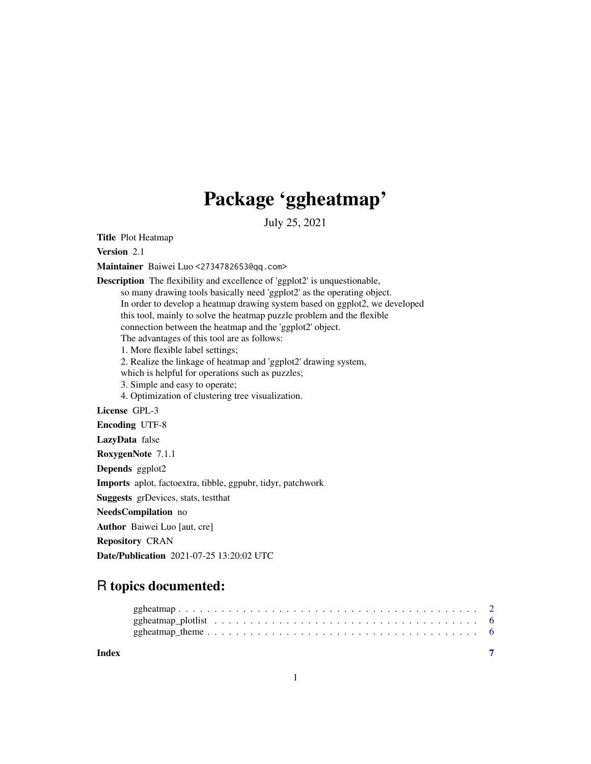## Package 'ggheatmap'

July 25, 2021

<span id="page-0-0"></span>Title Plot Heatmap

Version 2.1

Maintainer Baiwei Luo <2734782653@qq.com>

Description The flexibility and excellence of 'ggplot2' is unquestionable, so many drawing tools basically need 'ggplot2' as the operating object. In order to develop a heatmap drawing system based on ggplot2, we developed this tool, mainly to solve the heatmap puzzle problem and the flexible connection between the heatmap and the 'ggplot2' object. The advantages of this tool are as follows: 1. More flexible label settings; 2. Realize the linkage of heatmap and 'ggplot2' drawing system, which is helpful for operations such as puzzles; 3. Simple and easy to operate; 4. Optimization of clustering tree visualization. License GPL-3 Encoding UTF-8 LazyData false RoxygenNote 7.1.1 Depends ggplot2 Imports aplot, factoextra, tibble, ggpubr, tidyr, patchwork Suggests grDevices, stats, testthat NeedsCompilation no Author Baiwei Luo [aut, cre] Repository CRAN

Date/Publication 2021-07-25 13:20:02 UTC

## R topics documented:

| Index |  |
|-------|--|
|       |  |
|       |  |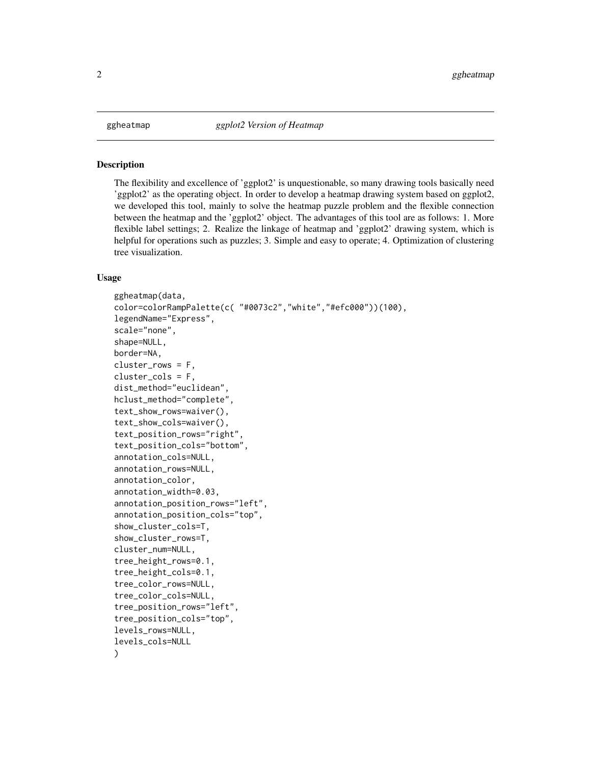<span id="page-1-0"></span>

#### Description

The flexibility and excellence of 'ggplot2' is unquestionable, so many drawing tools basically need 'ggplot2' as the operating object. In order to develop a heatmap drawing system based on ggplot2, we developed this tool, mainly to solve the heatmap puzzle problem and the flexible connection between the heatmap and the 'ggplot2' object. The advantages of this tool are as follows: 1. More flexible label settings; 2. Realize the linkage of heatmap and 'ggplot2' drawing system, which is helpful for operations such as puzzles; 3. Simple and easy to operate; 4. Optimization of clustering tree visualization.

#### Usage

```
ggheatmap(data,
color=colorRampPalette(c( "#0073c2","white","#efc000"))(100),
legendName="Express",
scale="none",
shape=NULL,
border=NA,
cluster_rows = F,
cluster_cols = F,
dist_method="euclidean",
hclust_method="complete",
text_show_rows=waiver(),
text_show_cols=waiver(),
text_position_rows="right",
text_position_cols="bottom",
annotation_cols=NULL,
annotation_rows=NULL,
annotation_color,
annotation_width=0.03,
annotation_position_rows="left",
annotation_position_cols="top",
show_cluster_cols=T,
show_cluster_rows=T,
cluster_num=NULL,
tree_height_rows=0.1,
tree_height_cols=0.1,
tree_color_rows=NULL,
tree_color_cols=NULL,
tree_position_rows="left",
tree_position_cols="top",
levels_rows=NULL,
levels_cols=NULL
)
```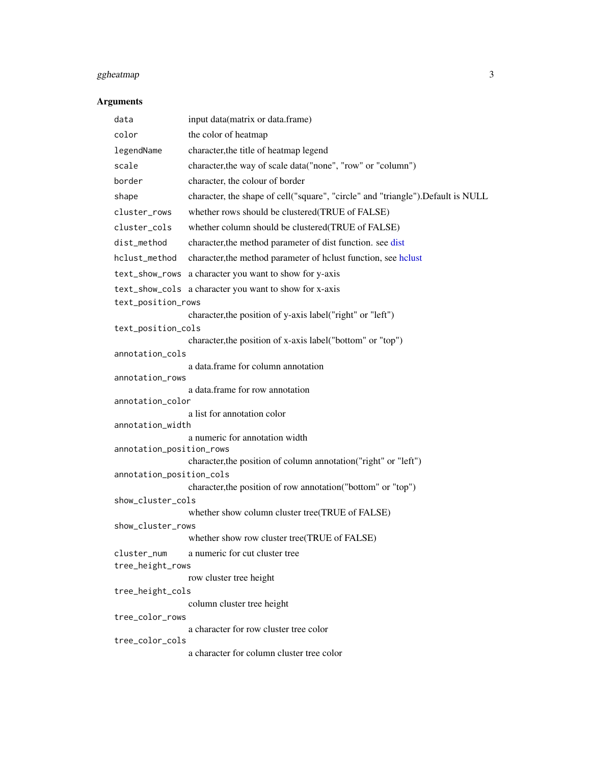## <span id="page-2-0"></span>ggheatmap 3

### Arguments

| data                     | input data(matrix or data.frame)                                                |  |  |  |
|--------------------------|---------------------------------------------------------------------------------|--|--|--|
| color                    | the color of heatmap                                                            |  |  |  |
| legendName               | character, the title of heatmap legend                                          |  |  |  |
| scale                    | character, the way of scale data("none", "row" or "column")                     |  |  |  |
| border                   | character, the colour of border                                                 |  |  |  |
| shape                    | character, the shape of cell("square", "circle" and "triangle").Default is NULL |  |  |  |
| cluster_rows             | whether rows should be clustered(TRUE of FALSE)                                 |  |  |  |
| cluster_cols             | whether column should be clustered(TRUE of FALSE)                               |  |  |  |
| dist_method              | character, the method parameter of dist function. see dist                      |  |  |  |
| hclust_method            | character, the method parameter of hclust function, see hclust                  |  |  |  |
|                          | text_show_rows a character you want to show for y-axis                          |  |  |  |
|                          | text_show_cols a character you want to show for x-axis                          |  |  |  |
| text_position_rows       |                                                                                 |  |  |  |
|                          | character, the position of y-axis label("right" or "left")                      |  |  |  |
| text_position_cols       | character, the position of x-axis label("bottom" or "top")                      |  |  |  |
| annotation_cols          |                                                                                 |  |  |  |
|                          | a data.frame for column annotation                                              |  |  |  |
| annotation_rows          |                                                                                 |  |  |  |
| annotation_color         | a data.frame for row annotation                                                 |  |  |  |
|                          | a list for annotation color                                                     |  |  |  |
| annotation_width         |                                                                                 |  |  |  |
|                          | a numeric for annotation width                                                  |  |  |  |
| annotation_position_rows | character, the position of column annotation("right" or "left")                 |  |  |  |
| annotation_position_cols |                                                                                 |  |  |  |
|                          | character, the position of row annotation ("bottom" or "top")                   |  |  |  |
| show_cluster_cols        |                                                                                 |  |  |  |
|                          | whether show column cluster tree(TRUE of FALSE)                                 |  |  |  |
| show_cluster_rows        | whether show row cluster tree(TRUE of FALSE)                                    |  |  |  |
| cluster_num              | a numeric for cut cluster tree                                                  |  |  |  |
| tree_height_rows         |                                                                                 |  |  |  |
|                          | row cluster tree height                                                         |  |  |  |
| tree_height_cols         |                                                                                 |  |  |  |
|                          | column cluster tree height                                                      |  |  |  |
| tree_color_rows          | a character for row cluster tree color                                          |  |  |  |
| tree_color_cols          |                                                                                 |  |  |  |
|                          | a character for column cluster tree color                                       |  |  |  |
|                          |                                                                                 |  |  |  |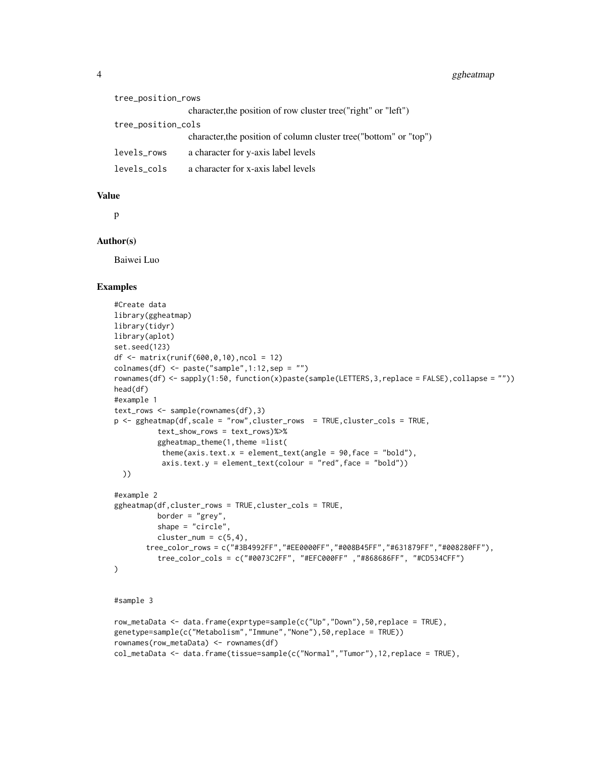| tree_position_rows |                                                                    |  |  |  |  |
|--------------------|--------------------------------------------------------------------|--|--|--|--|
|                    | character, the position of row cluster tree ("right" or "left")    |  |  |  |  |
| tree_position_cols |                                                                    |  |  |  |  |
|                    | character, the position of column cluster tree ("bottom" or "top") |  |  |  |  |
| levels_rows        | a character for y-axis label levels                                |  |  |  |  |
| levels_cols        | a character for x-axis label levels                                |  |  |  |  |

#### Value

p

#### Author(s)

Baiwei Luo

#### Examples

```
#Create data
library(ggheatmap)
library(tidyr)
library(aplot)
set.seed(123)
df <- matrix(runif(600,0,10),ncol = 12)
colnames(df) <- paste("sample",1:12,sep = "")
rownames(df) <- sapply(1:50, function(x)paste(sample(LETTERS,3,replace = FALSE),collapse = ""))
head(df)
#example 1
text_rows <- sample(rownames(df),3)
p <- ggheatmap(df,scale = "row",cluster_rows = TRUE,cluster_cols = TRUE,
          text_show_rows = text_rows)%>%
          ggheatmap_theme(1,theme =list(
           theme(axis.text.x = element_text(angle = 90, face = "bold"),
           axis.text.y = element\_text(colour = "red", face = "bold")))
#example 2
ggheatmap(df,cluster_rows = TRUE,cluster_cols = TRUE,
          border = "grey",
          shape = "circle",
          cluster_num = c(5,4),
       tree_color_rows = c("#3B4992FF","#EE0000FF","#008B45FF","#631879FF","#008280FF"),
          tree_color_cols = c("#0073C2FF", "#EFC000FF" ,"#868686FF", "#CD534CFF")
\mathcal{L}
```
#### #sample 3

```
row_metaData <- data.frame(exprtype=sample(c("Up","Down"),50,replace = TRUE),
genetype=sample(c("Metabolism","Immune","None"),50,replace = TRUE))
rownames(row_metaData) <- rownames(df)
col_metaData <- data.frame(tissue=sample(c("Normal","Tumor"),12,replace = TRUE),
```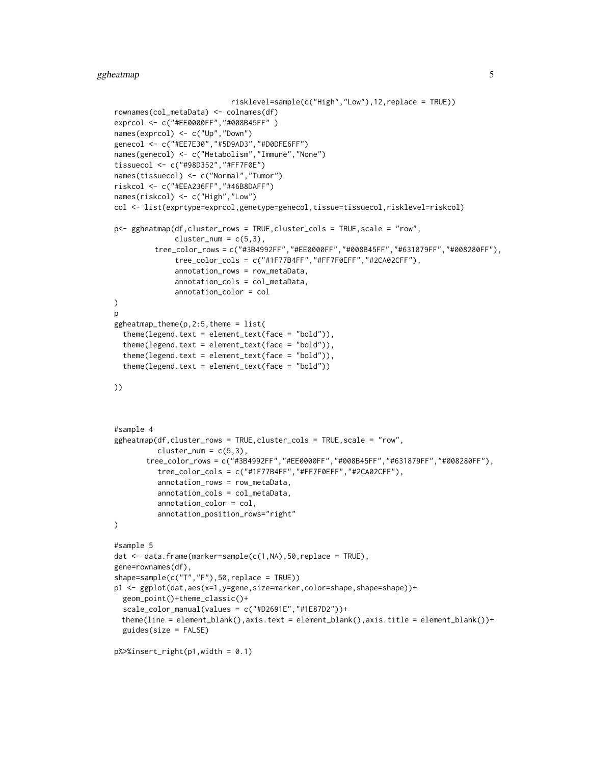#### ggheatmap  $5$

```
risklevel=sample(c("High","Low"),12,replace = TRUE))
rownames(col_metaData) <- colnames(df)
exprcol <- c("#EE0000FF","#008B45FF" )
names(exprcol) <- c("Up","Down")
genecol <- c("#EE7E30","#5D9AD3","#D0DFE6FF")
names(genecol) <- c("Metabolism","Immune","None")
tissuecol <- c("#98D352","#FF7F0E")
names(tissuecol) <- c("Normal","Tumor")
riskcol <- c("#EEA236FF","#46B8DAFF")
names(riskcol) <- c("High","Low")
col <- list(exprtype=exprcol,genetype=genecol,tissue=tissuecol,risklevel=riskcol)
p<- ggheatmap(df,cluster_rows = TRUE,cluster_cols = TRUE,scale = "row",
              cluster\_num = c(5,3),
         tree_color_rows = c("#3B4992FF","#EE0000FF","#008B45FF","#631879FF","#008280FF"),
              tree_color_cols = c("#1F77B4FF","#FF7F0EFF","#2CA02CFF"),
              annotation_rows = row_metaData,
              annotation_cols = col_metaData,
              annotation_color = col
)
p
ggheatmap_{th}theme(p, 2:5, theme = list(
  theme(legend.text = element_text(face = "bold")),
  theme(legend.text = element_text(face = "bold")),
  theme(legend.text = element_text(face = "bold")),
  theme(legend.text = element_text(face = "bold"))
))
#sample 4
ggheatmap(df,cluster_rows = TRUE,cluster_cols = TRUE,scale = "row",
          cluster\_num = c(5,3),
       tree_color_rows = c("#3B4992FF","#EE0000FF","#008B45FF","#631879FF","#008280FF"),
          tree_color_cols = c("#1F77B4FF","#FF7F0EFF","#2CA02CFF"),
          annotation_rows = row_metaData,
          annotation_cols = col_metaData,
          annotation_color = col,
          annotation_position_rows="right"
)
#sample 5
dat <- data.frame(marker=sample(c(1,NA),50,replace = TRUE),
gene=rownames(df),
shape=sample(c("T","F"),50,replace = TRUE))
p1 <- ggplot(dat,aes(x=1,y=gene,size=marker,color=shape,shape=shape))+
  geom_point()+theme_classic()+
  scale_color_manual(values = c("#D2691E","#1E87D2"))+
 theme(line = element_blank(),axis.text = element_blank(),axis.title = element_blank())+
  guides(size = FALSE)
p%>%insert_right(p1, width = 0.1)
```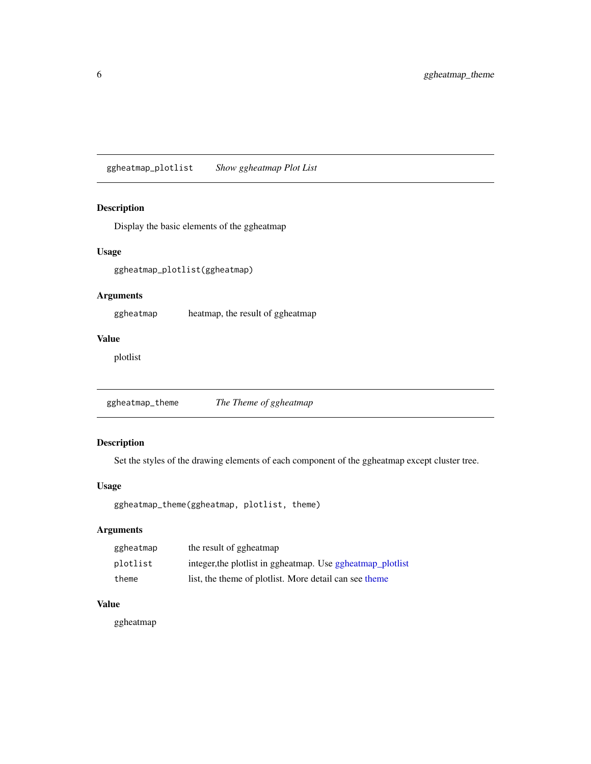<span id="page-5-1"></span><span id="page-5-0"></span>ggheatmap\_plotlist *Show ggheatmap Plot List*

#### Description

Display the basic elements of the ggheatmap

#### Usage

ggheatmap\_plotlist(ggheatmap)

#### Arguments

ggheatmap heatmap, the result of ggheatmap

#### Value

plotlist

ggheatmap\_theme *The Theme of ggheatmap*

#### Description

Set the styles of the drawing elements of each component of the ggheatmap except cluster tree.

#### Usage

ggheatmap\_theme(ggheatmap, plotlist, theme)

#### Arguments

| ggheatmap | the result of ggheatmap                                      |
|-----------|--------------------------------------------------------------|
| plotlist  | integer, the plot list in ggheatmap. Use ggheatmap_plot list |
| theme     | list, the theme of plotlist. More detail can see theme       |

#### Value

ggheatmap